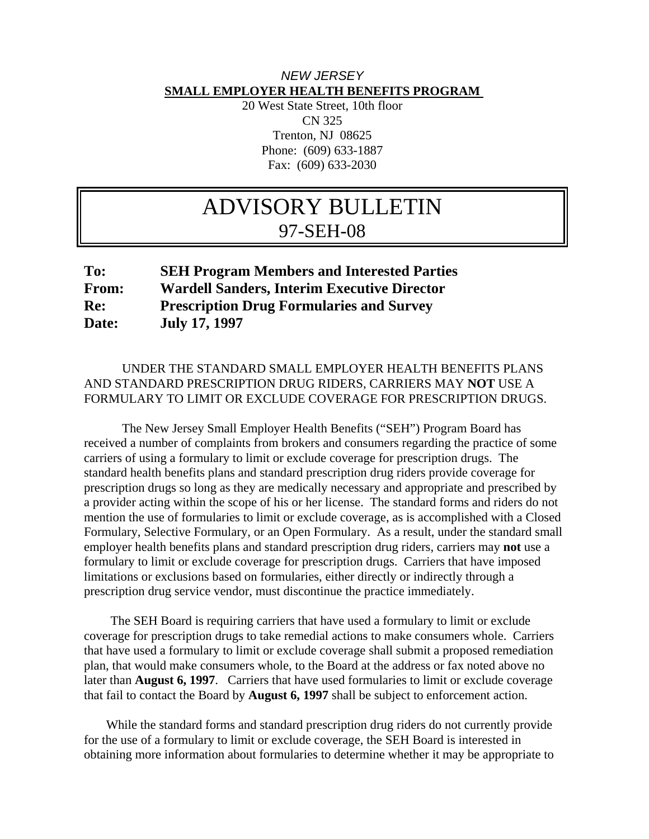## *NEW JERSEY*  **SMALL EMPLOYER HEALTH BENEFITS PROGRAM**

20 West State Street, 10th floor CN 325 Trenton, NJ 08625 Phone: (609) 633-1887 Fax: (609) 633-2030

# ADVISORY BULLETIN 97-SEH-08

# **To: SEH Program Members and Interested Parties From: Wardell Sanders, Interim Executive Director Re: Prescription Drug Formularies and Survey Date: July 17, 1997**

## UNDER THE STANDARD SMALL EMPLOYER HEALTH BENEFITS PLANS AND STANDARD PRESCRIPTION DRUG RIDERS, CARRIERS MAY **NOT** USE A FORMULARY TO LIMIT OR EXCLUDE COVERAGE FOR PRESCRIPTION DRUGS.

 The New Jersey Small Employer Health Benefits ("SEH") Program Board has received a number of complaints from brokers and consumers regarding the practice of some carriers of using a formulary to limit or exclude coverage for prescription drugs. The standard health benefits plans and standard prescription drug riders provide coverage for prescription drugs so long as they are medically necessary and appropriate and prescribed by a provider acting within the scope of his or her license. The standard forms and riders do not mention the use of formularies to limit or exclude coverage, as is accomplished with a Closed Formulary, Selective Formulary, or an Open Formulary. As a result, under the standard small employer health benefits plans and standard prescription drug riders, carriers may **not** use a formulary to limit or exclude coverage for prescription drugs. Carriers that have imposed limitations or exclusions based on formularies, either directly or indirectly through a prescription drug service vendor, must discontinue the practice immediately.

 The SEH Board is requiring carriers that have used a formulary to limit or exclude coverage for prescription drugs to take remedial actions to make consumers whole. Carriers that have used a formulary to limit or exclude coverage shall submit a proposed remediation plan, that would make consumers whole, to the Board at the address or fax noted above no later than **August 6, 1997**. Carriers that have used formularies to limit or exclude coverage that fail to contact the Board by **August 6, 1997** shall be subject to enforcement action.

 While the standard forms and standard prescription drug riders do not currently provide for the use of a formulary to limit or exclude coverage, the SEH Board is interested in obtaining more information about formularies to determine whether it may be appropriate to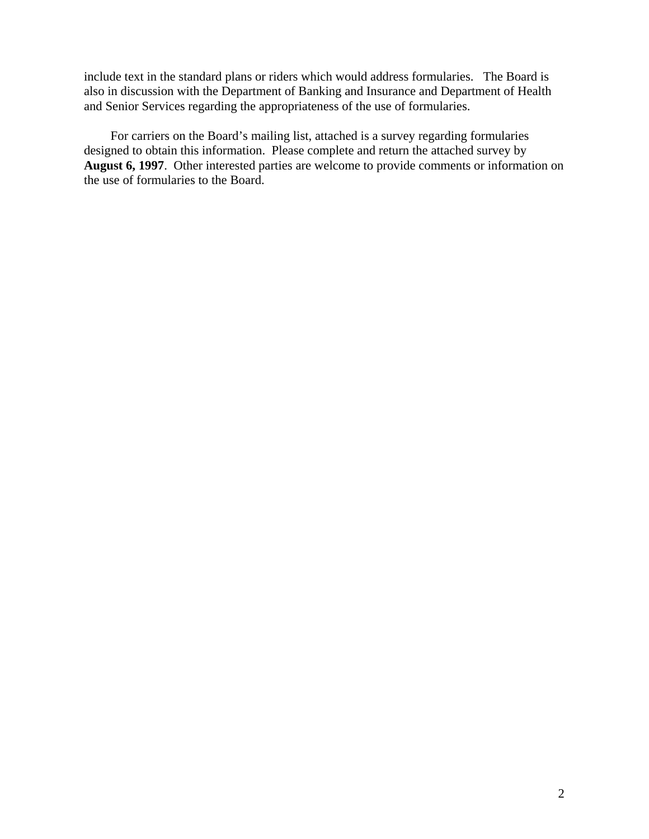include text in the standard plans or riders which would address formularies. The Board is also in discussion with the Department of Banking and Insurance and Department of Health and Senior Services regarding the appropriateness of the use of formularies.

 For carriers on the Board's mailing list, attached is a survey regarding formularies designed to obtain this information. Please complete and return the attached survey by **August 6, 1997**. Other interested parties are welcome to provide comments or information on the use of formularies to the Board.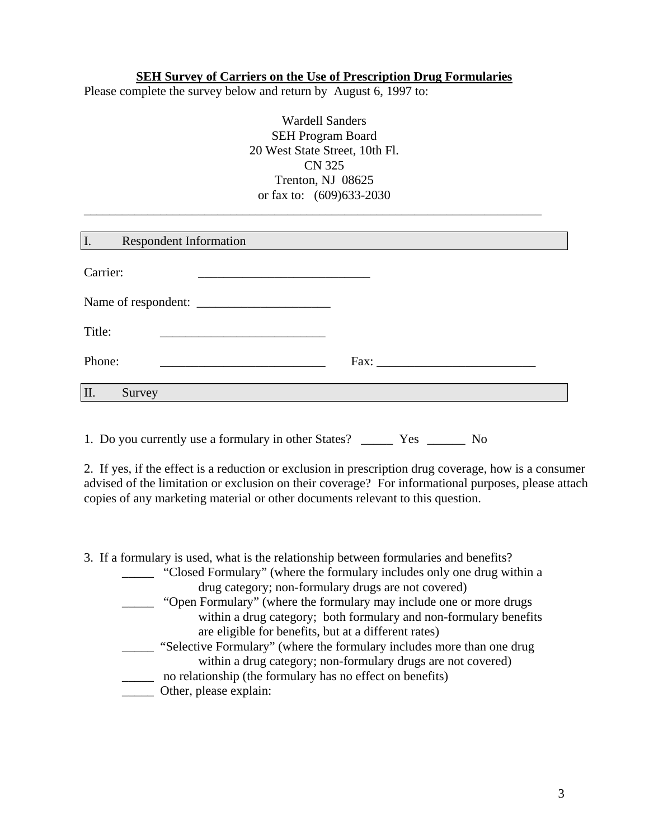#### **SEH Survey of Carriers on the Use of Prescription Drug Formularies**

Please complete the survey below and return by August 6, 1997 to:

| <b>Wardell Sanders</b>         |  |
|--------------------------------|--|
| <b>SEH Program Board</b>       |  |
| 20 West State Street, 10th Fl. |  |
| CN 325                         |  |
| Trenton, NJ 08625              |  |
| or fax to: (609) 633-2030      |  |

\_\_\_\_\_\_\_\_\_\_\_\_\_\_\_\_\_\_\_\_\_\_\_\_\_\_\_\_\_\_\_\_\_\_\_\_\_\_\_\_\_\_\_\_\_\_\_\_\_\_\_\_\_\_\_\_\_\_\_\_\_\_\_\_\_\_\_\_\_\_\_\_

| I.<br><b>Respondent Information</b>                                 |      |
|---------------------------------------------------------------------|------|
| Carrier:                                                            |      |
|                                                                     |      |
| Title:                                                              |      |
| Phone:<br><u> 1989 - Johann Barbara, martin amerikan personal (</u> | Fax: |
| II.<br>Survey                                                       |      |
|                                                                     |      |

1. Do you currently use a formulary in other States? \_\_\_\_\_ Yes \_\_\_\_\_\_ No

2. If yes, if the effect is a reduction or exclusion in prescription drug coverage, how is a consumer advised of the limitation or exclusion on their coverage? For informational purposes, please attach copies of any marketing material or other documents relevant to this question.

3. If a formulary is used, what is the relationship between formularies and benefits?

| "Closed Formulary" (where the formulary includes only one drug within a |
|-------------------------------------------------------------------------|
| drug category; non-formulary drugs are not covered)                     |

- "Open Formulary" (where the formulary may include one or more drugs within a drug category; both formulary and non-formulary benefits are eligible for benefits, but at a different rates)
- \_\_\_\_\_ "Selective Formulary" (where the formulary includes more than one drug within a drug category; non-formulary drugs are not covered)
- \_\_\_\_\_ no relationship (the formulary has no effect on benefits)
- \_\_\_\_\_ Other, please explain: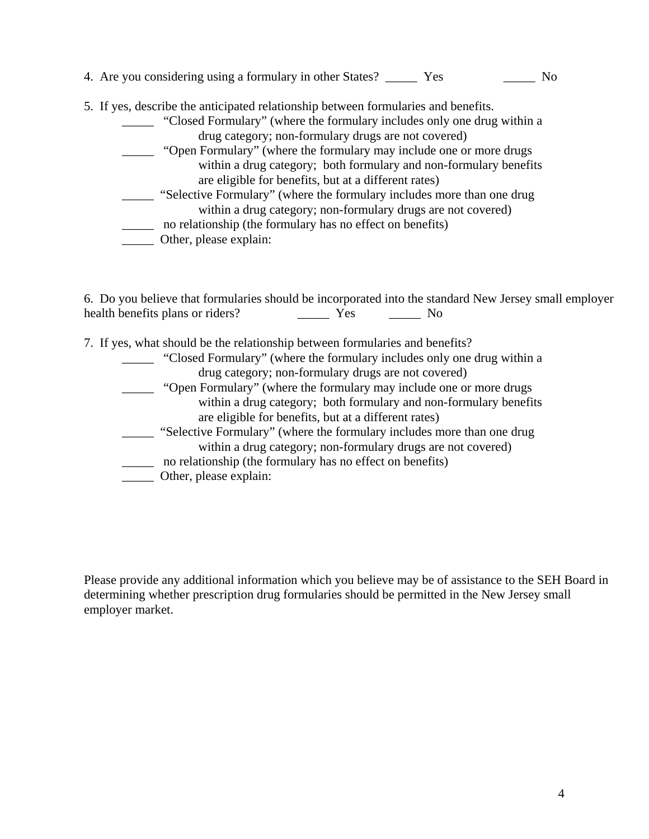| 4. Are you considering using a formulary in other States?<br>$\rm No$<br>Yes       |
|------------------------------------------------------------------------------------|
| 5. If yes, describe the anticipated relationship between formularies and benefits. |
| "Closed Formulary" (where the formulary includes only one drug within a            |
| drug category; non-formulary drugs are not covered)                                |
| "Open Formulary" (where the formulary may include one or more drugs                |
| within a drug category; both formulary and non-formulary benefits                  |
| are eligible for benefits, but at a different rates)                               |
| "Selective Formulary" (where the formulary includes more than one drug             |
| within a drug category; non-formulary drugs are not covered)                       |
| no relationship (the formulary has no effect on benefits)                          |
| Other, please explain:                                                             |
|                                                                                    |

6. Do you believe that formularies should be incorporated into the standard New Jersey small employer health benefits plans or riders? The Mo

| 7. If yes, what should be the relationship between formularies and benefits? |
|------------------------------------------------------------------------------|
|------------------------------------------------------------------------------|

| "Closed Formulary" (where the formulary includes only one drug within a |  |
|-------------------------------------------------------------------------|--|
| drug category; non-formulary drugs are not covered)                     |  |
| "Open Formulary" (where the formulary may include one or more drugs     |  |
| within a drug category; both formulary and non-formulary benefits       |  |
| are eligible for benefits, but at a different rates)                    |  |
| "Selective Formulary" (where the formulary includes more than one drug  |  |
| within a drug category; non-formulary drugs are not covered)            |  |
| no relationship (the formulary has no effect on benefits)               |  |
| Other, please explain:                                                  |  |

Please provide any additional information which you believe may be of assistance to the SEH Board in determining whether prescription drug formularies should be permitted in the New Jersey small employer market.